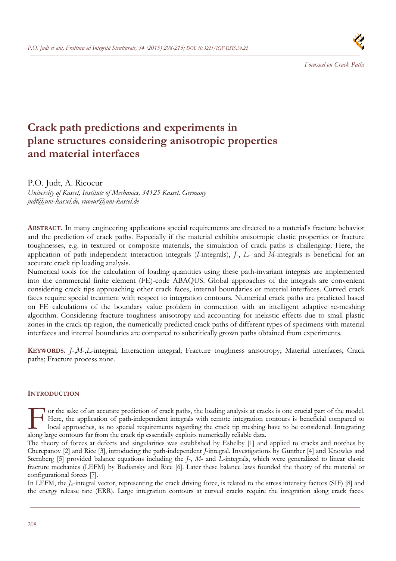

*Focussed on Crack Paths* 

# **Crack path predictions and experiments in plane structures considering anisotropic properties and material interfaces**

P.O. Judt, A. Ricoeur

*University of Kassel, Institute of Mechanics, 34125 Kassel, Germany judt@uni-kassel.de, ricoeur@uni-kassel.de* 

**ABSTRACT.** In many engineering applications special requirements are directed to a material's fracture behavior and the prediction of crack paths. Especially if the material exhibits anisotropic elastic properties or fracture toughnesses, e.g. in textured or composite materials, the simulation of crack paths is challenging. Here, the application of path independent interaction integrals (*I*-integrals), *J*-, *L*- and *M*-integrals is beneficial for an accurate crack tip loading analysis.

Numerical tools for the calculation of loading quantities using these path-invariant integrals are implemented into the commercial finite element (FE)-code ABAQUS. Global approaches of the integrals are convenient considering crack tips approaching other crack faces, internal boundaries or material interfaces. Curved crack faces require special treatment with respect to integration contours. Numerical crack paths are predicted based on FE calculations of the boundary value problem in connection with an intelligent adaptive re-meshing algorithm. Considering fracture toughness anisotropy and accounting for inelastic effects due to small plastic zones in the crack tip region, the numerically predicted crack paths of different types of specimens with material interfaces and internal boundaries are compared to subcritically grown paths obtained from experiments.

**KEYWORDS.** *J*-,*M*-,*L*-integral; Interaction integral; Fracture toughness anisotropy; Material interfaces; Crack paths; Fracture process zone.

## **INTRODUCTION**

To r the sake of an accurate prediction of crack paths, the loading analysis at cracks is one crucial part of the model. Here, the application of path-independent integrals with remote integration contours is beneficial compared to local approaches, as no special requirements regarding the crack tip meshing have to be considered. Integrating The sake of an accurate prediction of crack paths, the loading analysis at crack Here, the application of path-independent integrals with remote integration clocal approaches, as no special requirements regarding the crack

The theory of forces at defects and singularities was established by Eshelby [1] and applied to cracks and notches by Cherepanov [2] and Rice [3], introducing the path-independent *J*-integral. Investigations by Günther [4] and Knowles and Sternberg [5] provided balance equations including the *J*-, *M*- and *L*-integrals, which were generalized to linear elastic fracture mechanics (LEFM) by Budiansky and Rice [6]. Later these balance laws founded the theory of the material or configurational forces [7].

In LEFM, the *Jk*-integral vector, representing the crack driving force, is related to the stress intensity factors (SIF) [8] and the energy release rate (ERR). Large integration contours at curved cracks require the integration along crack faces,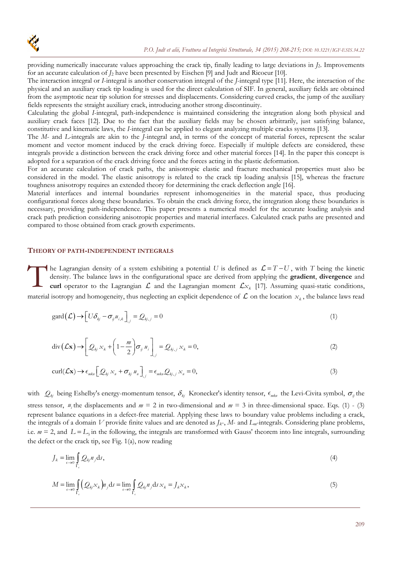providing numerically inaccurate values approaching the crack tip, finally leading to large deviations in *J*2. Improvements for an accurate calculation of *J*2 have been presented by Eischen [9] and Judt and Ricoeur [10].

The interaction integral or *I*-integral is another conservation integral of the *J*-integral type [11]. Here, the interaction of the physical and an auxiliary crack tip loading is used for the direct calculation of SIF. In general, auxiliary fields are obtained from the asymptotic near tip solution for stresses and displacements. Considering curved cracks, the jump of the auxiliary fields represents the straight auxiliary crack, introducing another strong discontinuity.

Calculating the global *I*-integral, path-independence is maintained considering the integration along both physical and auxiliary crack faces [12]. Due to the fact that the auxiliary fields may be chosen arbitrarily, just satisfying balance, constitutive and kinematic laws, the *I*-integral can be applied to elegant analyzing multiple cracks systems [13].

The *M*- and *L*-integrals are akin to the *J*-integral and, in terms of the concept of material forces, represent the scalar moment and vector moment induced by the crack driving force. Especially if multiple defects are considered, these integrals provide a distinction between the crack driving force and other material forces [14]. In the paper this concept is adopted for a separation of the crack driving force and the forces acting in the plastic deformation.

For an accurate calculation of crack paths, the anisotropic elastic and fracture mechanical properties must also be considered in the model. The elastic anisotropy is related to the crack tip loading analysis [15], whereas the fracture toughness anisotropy requires an extended theory for determining the crack deflection angle [16].

Material interfaces and internal boundaries represent inhomogeneities in the material space, thus producing configurational forces along these boundaries. To obtain the crack driving force, the integration along these boundaries is necessary, providing path-independence. This paper presents a numerical model for the accurate loading analysis and crack path prediction considering anisotropic properties and material interfaces. Calculated crack paths are presented and compared to those obtained from crack growth experiments.

## **THEORY OF PATH-INDEPENDENT INTEGRALS**

The Lagrangian density of a system exhibiting a potential *U* is defined as  $\mathcal{L} = T - U$ , with *T* being the kinetic density. The balance laws in the configurational space are derived from applying the **gradient**, **divergence** and **curl** operator to the Lagrangian  $\mathcal{L}$  and the Lagrangian moment  $\mathcal{L}x_k$  [17]. Assuming quasi-static conditions, material isotropy and homogeneity, thus neglecting an explicit dependence of  $\mathcal L$  on the location  $x_k$ , the balance laws read The de

$$
\text{gard}\left(\mathcal{L}\right) \to \left[U\delta_{kj} - \sigma_{ij} u_{i,k}\right]_{,j} = Q_{kj,j} = 0\tag{1}
$$

$$
\operatorname{div}\left(\mathcal{L}\mathbf{x}\right) \to \left[\mathcal{Q}_{kj} x_k + \left(1 - \frac{m}{2}\right) \sigma_{ij} u_i\right]_{,j} = \mathcal{Q}_{kj,j} x_k = 0,\tag{2}
$$

$$
\operatorname{curl}(\mathcal{L}\mathbf{x}) \to \epsilon_{\min} \Big[ \mathcal{Q}_{kj} \, x_n + \sigma_{kj} \, u_n \Big]_{,j} = \epsilon_{\min} \mathcal{Q}_{kj,j} \, x_n = 0, \tag{3}
$$

with  $Q_{kj}$  being Eshelby's energy-momentum tensor,  $\delta_{kj}$  Kronecker's identity tensor,  $\epsilon_{mkn}$  the Levi-Civita symbol,  $\sigma_{ij}$  the stress tensor,  $u_i$  the displacements and  $m = 2$  in two-dimensional and  $m = 3$  in three-dimensional space. Eqs. (1) - (3) represent balance equations in a defect-free material. Applying these laws to boundary value problems including a crack, the integrals of a domain *V* provide finite values and are denoted as *Jk*-, *M*- and *Lm*-integrals. Considering plane problems, i.e.  $m = 2$ , and  $L = L<sub>3</sub>$  in the following, the integrals are transformed with Gauss' theorem into line integrals, surrounding the defect or the crack tip, see Fig. 1(a), now reading

$$
J_k = \lim_{\epsilon \to 0} \int_{\Gamma_{\epsilon}} Q_{kj} n_j \, \mathrm{d}s,\tag{4}
$$

$$
M = \lim_{\epsilon \to 0} \int_{\Gamma_{\epsilon}} (\mathcal{Q}_{\xi} \times_{k}) n_{j} \, \mathrm{d}s = \lim_{\epsilon \to 0} \int_{\Gamma_{\epsilon}} \mathcal{Q}_{\xi} n_{j} \, \mathrm{d}s \times_{k} = J_{k} \times_{k}, \tag{5}
$$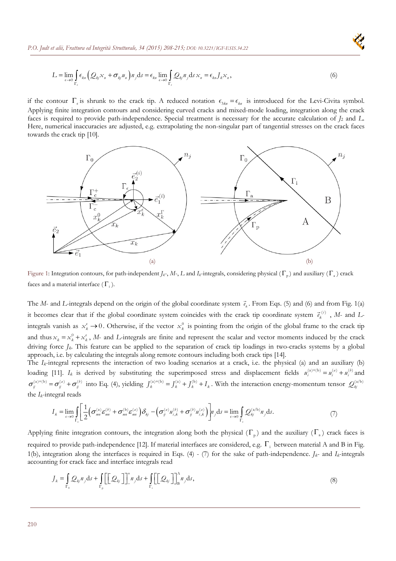$$
L = \lim_{\epsilon \to 0} \int_{\Gamma_{\epsilon}} \epsilon_{k n} \left( Q_{kj} x_{n} + \sigma_{kj} u_{n} \right) n_{j} \, \mathrm{d}s = \epsilon_{k n} \lim_{\epsilon \to 0} \int_{\Gamma_{\epsilon}} Q_{kj} n_{j} \, \mathrm{d}s \, x_{n} = \epsilon_{k n} J_{k} x_{n}, \tag{6}
$$

if the contour  $\Gamma_{\epsilon}$  is shrunk to the crack tip. A reduced notation  $\epsilon_{3kn} = \epsilon_{kn}$  is introduced for the Levi-Civita symbol. Applying finite integration contours and considering curved cracks and mixed-mode loading, integration along the crack faces is required to provide path-independence. Special treatment is necessary for the accurate calculation of *J*2 and *L*. Here, numerical inaccuracies are adjusted, e.g. extrapolating the non-singular part of tangential stresses on the crack faces towards the crack tip [10].



Figure 1: Integration contours, for path-independent  $J_k$ -,  $M$ -,  $L$  and  $I_k$ -integrals, considering physical ( $\Gamma_n$ ) and auxiliary ( $\Gamma_s$ ) crack faces and a material interface ( $\Gamma_i$ ).

The *M*- and *L*-integrals depend on the origin of the global coordinate system  $\vec{e}_k$ . From Eqs. (5) and (6) and from Fig. 1(a) it becomes clear that if the global coordinate system coincides with the crack tip coordinate system  $\vec{e}_k^{(i)}$ , *M*- and *L*integrals vanish as  $x_k^{\epsilon} \to 0$ . Otherwise, if the vector  $x_k^0$  is pointing from the origin of the global frame to the crack tip and thus  $x_k = x_k^0 + x_k^{\epsilon}$ , *M*- and *L*-integrals are finite and represent the scalar and vector moments induced by the crack driving force *J<sub>k</sub>*. This feature can be applied to the separation of crack tip loadings in two-cracks systems by a global approach, i.e. by calculating the integrals along remote contours including both crack tips [14].

The *I<sub>k</sub>*-integral represents the interaction of two loading scenarios at a crack, i.e. the physical (a) and an auxiliary (b) loading [11]. *I<sub>k</sub>* is derived by substituting the superimposed stress and displacement fields  $u_i^{(a)+(b)} = u_i^{(a)} + u_i^{(b)}$  and  $\sigma_{ij}^{(a)+(b)} = \sigma_{ij}^{(a)} + \sigma_{ij}^{(b)}$  into Eq. (4), yielding  $J_k^{(a)+(b)} = J_k^{(a)} + J_k^{(b)} + I_k$ . With the interaction energy-momentum tensor  $Q_{kj}^{(a/b)}$ the *Ik*-integral reads

$$
I_k = \lim_{\epsilon \to 0} \int_{\Gamma_{\epsilon}} \left[ \frac{1}{2} \left( \sigma_{mn}^{(a)} \varepsilon_{mn}^{(b)} + \sigma_{mn}^{(b)} \varepsilon_{mn}^{(a)} \right) \delta_{kj} - \left( \sigma_{ij}^{(a)} u_{i,k}^{(b)} + \sigma_{ij}^{(b)} u_{i,k}^{(a)} \right) \right] n_j \, \mathrm{d}s = \lim_{\epsilon \to 0} \int_{\Gamma_{\epsilon}} Q_{kj}^{(a/b)} n_j \, \mathrm{d}s. \tag{7}
$$

Applying finite integration contours, the integration along both the physical ( $\Gamma_p$ ) and the auxiliary ( $\Gamma_a$ ) crack faces is required to provide path-independence [12]. If material interfaces are considered, e.g.  $\Gamma_i$  between material A and B in Fig. 1(b), integration along the interfaces is required in Eqs. (4) - (7) for the sake of path-independence. *Jk*- and *Ik*-integrals accounting for crack face and interface integrals read

$$
J_k = \int_{\Gamma_0} Q_{kj} n_j \mathrm{d}s + \int_{\Gamma_p} \left[ \left[ Q_{kj} \right] \right]_{-}^{+} n_j \mathrm{d}s + \int_{\Gamma_i} \left[ \left[ Q_{kj} \right] \right]_{\mathrm{B}}^{A} n_j \mathrm{d}s, \tag{8}
$$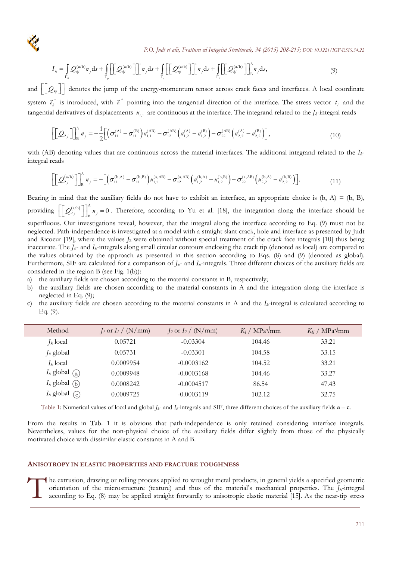

$$
I_{k} = \int_{\Gamma_{0}} Q_{kj}^{(a/b)} n_{j} \mathrm{d}s + \int_{\Gamma_{p}} \left[ \left[ \mathcal{Q}_{kj}^{(a/b)} \right] \right]_{-}^{+} n_{j} \mathrm{d}s + \int_{\Gamma_{a}} \left[ \left[ \mathcal{Q}_{kj}^{(a/b)} \right] \right]_{-}^{+} n_{j} \mathrm{d}s + \int_{\Gamma_{i}} \left[ \left[ \mathcal{Q}_{kj}^{(a/b)} \right] \right]_{B}^{A} n_{j} \mathrm{d}s, \tag{9}
$$

and  $\left[\begin{bmatrix} \mathcal{Q}_{kj}\end{bmatrix}\right]$  denotes the jump of the energy-momentum tensor across crack faces and interfaces. A local coordinate system  $\vec{e}_k^*$  is introduced, with  $\vec{e}_1^*$  pointing into the tangential direction of the interface. The stress vector  $t_i$  and the tangential derivatives of displacements  $u_{i,1}$  are continuous at the interface. The integrand related to the  $J_k$ -integral reads

$$
\left[\left[\mathcal{Q}_{2j}\right]\right]_{B}^{\Lambda}n_{j} = -\frac{1}{2}\left[\left(\sigma_{11}^{(\Lambda)} - \sigma_{11}^{(\text{B})}\right)u_{1,1}^{(\text{AB})} - \sigma_{12}^{(\text{AB})}\left(u_{1,2}^{(\Lambda)} - u_{1,2}^{(\text{B})}\right) - \sigma_{22}^{(\text{AB})}\left(u_{2,2}^{(\Lambda)} - u_{2,2}^{(\text{B})}\right)\right],\tag{10}
$$

with (AB) denoting values that are continuous across the material interfaces. The additional integrand related to the *Ik*integral reads

$$
\left[\left[\mathcal{Q}_{2j}^{(a/b)}\right]\right]_{B}^{A} n_{j} = -\left[\left(\sigma_{11}^{(b,A)} - \sigma_{11}^{(b,B)}\right)u_{1,1}^{(a,AB)} - \sigma_{12}^{(a,AB)}\left(u_{1,2}^{(b,A)} - u_{1,2}^{(b,B)}\right) - \sigma_{22}^{(a,AB)}\left(u_{2,2}^{(b,A)} - u_{2,2}^{(b,B)}\right)\right].
$$
\n(11)

Bearing in mind that the auxiliary fields do not have to exhibit an interface, an appropriate choice is  $(b, A) = (b, B)$ , providing  $\left[\left[\mathcal{Q}_{2j}^{(a/b)}\right]\right]_B^A n_j = 0$ . Therefore, according to Yu et al. [18], the integration along the interface should be superfluous. Our investigations reveal, however, that the integral along the interface according to Eq. (9) must not be neglected. Path-independence is investigated at a model with a straight slant crack, hole and interface as presented by Judt and Ricoeur [19], where the values *J*2 were obtained without special treatment of the crack face integrals [10] thus being inaccurate. The *Jk*- and *Ik*-integrals along small circular contours enclosing the crack tip (denoted as local) are compared to the values obtained by the approach as presented in this section according to Eqs. (8) and (9) (denoted as global). Furthermore, SIF are calculated for a comparison of *Jk*- and *Ik*-integrals. Three different choices of the auxiliary fields are considered in the region B (see Fig. 1(b)):

a) the auxiliary fields are chosen according to the material constants in B, respectively;

- b) the auxiliary fields are chosen according to the material constants in A and the integration along the interface is neglected in Eq. (9);
- c) the auxiliary fields are chosen according to the material constants in A and the *Ik*-integral is calculated according to Eq. (9).

| Method                                            | $J_1$ or $I_1 / (N/mm)$ | $J_2$ or $I_2 / (N/mm)$ | $K_I / MPa \sqrt{mm}$ | $K_{II}$ / MPa $\sqrt{mm}$ |
|---------------------------------------------------|-------------------------|-------------------------|-----------------------|----------------------------|
| $J_k$ local                                       | 0.05721                 | $-0.03304$              | 104.46                | 33.21                      |
| $J_k$ global                                      | 0.05731                 | $-0.03301$              | 104.58                | 33.15                      |
| $I_k$ local                                       | 0.0009954               | $-0.0003162$            | 104.52                | 33.21                      |
| $I_k$ global (a)                                  | 0.0009948               | $-0.0003168$            | 104.46                | 33.27                      |
| $I_k$ global $\left(\overline{\mathbf{b}}\right)$ | 0.0008242               | $-0.0004517$            | 86.54                 | 47.43                      |
| $I_k$ global $\binom{C}{k}$                       | 0.0009725               | $-0.0003119$            | 102.12                | 32.75                      |

Table 1: Numerical values of local and global  $J_k$ - and  $I_k$ -integrals and SIF, three different choices of the auxiliary fields  $\mathbf{a} - \mathbf{c}$ .

From the results in Tab. 1 it is obvious that path-independence is only retained considering interface integrals. Nevertheless, values for the non-physical choice of the auxiliary fields differ slightly from those of the physically motivated choice with dissimilar elastic constants in A and B.

## **ANISOTROPY IN ELASTIC PROPERTIES AND FRACTURE TOUGHNESS**

he extrusion, drawing or rolling process applied to wrought metal products, in general yields a specified geometric orientation of the microstructure (texture) and thus of the material's mechanical properties. The  $J_k$ -integral according to Eq. (8) may be applied straight forwardly to anisotropic elastic material [15]. As the near-tip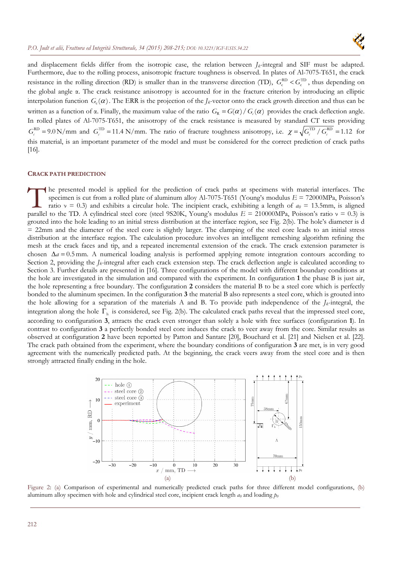

and displacement fields differ from the isotropic case, the relation between  $J_k$ -integral and SIF must be adapted. Furthermore, due to the rolling process, anisotropic fracture toughness is observed. In plates of Al-7075-T651, the crack resistance in the rolling direction (RD) is smaller than in the transverse direction (TD),  $G_c^{RD} < G_c^{TD}$ , thus depending on the global angle α. The crack resistance anisotropy is accounted for in the fracture criterion by introducing an elliptic interpolation function  $G_c(\alpha)$ . The ERR is the projection of the *J<sub>k</sub>*-vector onto the crack growth direction and thus can be written as a function of α. Finally, the maximum value of the ratio  $G_R = G(\alpha) / G(\alpha)$  provides the crack deflection angle. In rolled plates of Al-7075-T651, the anisotropy of the crack resistance is measured by standard CT tests providing  $G_c^{\text{RD}} = 9.0 \text{ N/mm}$  and  $G_c^{\text{TD}} = 11.4 \text{ N/mm}$ . The ratio of fracture toughness anisotropy, i.e.  $\chi = \sqrt{G_c^{\text{TD}}/G_c^{\text{RD}}} = 1.12$  for this material, is an important parameter of the model and must be considered for the correct prediction of crack paths [16].

#### **CRACK PATH PREDICTION**

he presented model is applied for the prediction of crack paths at specimens with material interfaces. The specimen is cut from a rolled plate of aluminum alloy Al-7075-T651 (Young's modulus *E* = 72000MPa, Poisson's ratio  $v = 0.3$ ) and exhibits a circular hole. The incipient crack, exhibiting a length of  $a_0 = 13.5$ mm, is aligned **Parallel to the TD. A cylindrical steel core (steel 9S20K, Young's modulus** *E* **= 210000MPa, Poisson's parallel to the TD. A cylindrical steel core (steel 9S20K, Young's modulus** *E* **= 210000MPa, Poisson's ratio ν = 0.3)** grouted into the hole leading to an initial stress distribution at the interface region, see Fig. 2(b). The hole's diameter is d  $= 22$ mm and the diameter of the steel core is slightly larger. The clamping of the steel core leads to an initial stress distribution at the interface region. The calculation procedure involves an intelligent remeshing algorithm refining the mesh at the crack faces and tip, and a repeated incremental extension of the crack. The crack extension parameter is chosen  $\Delta a = 0.5$  mm. A numerical loading analysis is performed applying remote integration contours according to Section 2, providing the *J<sub>k</sub>*-integral after each crack extension step. The crack deflection angle is calculated according to Section 3. Further details are presented in [16]. Three configurations of the model with different boundary conditions at the hole are investigated in the simulation and compared with the experiment. In configuration **1** the phase B is just air, the hole representing a free boundary. The configuration **2** considers the material B to be a steel core which is perfectly bonded to the aluminum specimen. In the configuration **3** the material B also represents a steel core, which is grouted into the hole allowing for a separation of the materials A and B. To provide path independence of the  $J_k$ -integral, the integration along the hole  $\Gamma_h$  is considered, see Fig. 2(b). The calculated crack paths reveal that the impressed steel core, according to configuration **3**, attracts the crack even stronger than solely a hole with free surfaces (configuration **1**). In contrast to configuration **3** a perfectly bonded steel core induces the crack to veer away from the core. Similar results as observed at configuration **2** have been reported by Patton and Santare [20], Bouchard et al. [21] and Nielsen et al. [22]. The crack path obtained from the experiment, where the boundary conditions of configuration **3** are met, is in very good agreement with the numerically predicted path. At the beginning, the crack veers away from the steel core and is then strongly attracted finally ending in the hole.



Figure 2: (a) Comparison of experimental and numerically predicted crack paths for three different model configurations, (b) aluminum alloy specimen with hole and cylindrical steel core, incipient crack length  $a_0$  and loading  $p_0$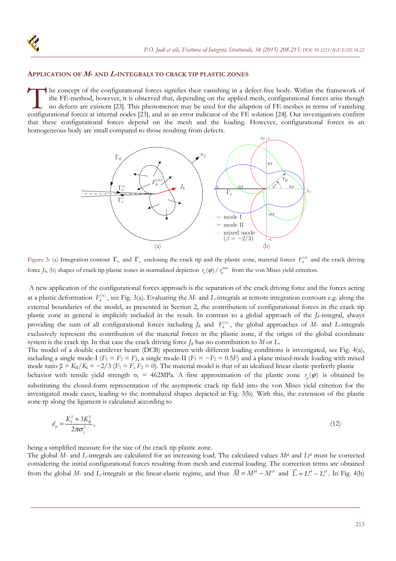

#### **APPLICATION OF M- AND L-INTEGRALS TO CRACK TIP PLASTIC ZONES**

he concept of the configurational forces signifies their vanishing in a defect-free body. Within the framework of the FE-method, however, it is observed that, depending on the applied mesh, configurational forces arise though no defects are existent [23]. This phenomenon may be used for the adaption of FE meshes in terms of vanishing The concept of the configurational forces signifies their vanishing in a defect-free body. Within the framework of the FE-method, however, it is observed that, depending on the applied mesh, configurational forces arise th that these configurational forces depend on the mesh and the loading. However, configurational forces in an homogeneous body are small compared to those resulting from defects.



Figure 3: (a) Integration contour  $\Gamma_0$  and  $\Gamma_c$  enclosing the crack tip and the plastic zone, material forces  $F_k^{(n)}$  and the crack driving force  $J_k$ , (b) shapes of crack tip plastic zones in normalized depiction  $r_p(\varphi)/r_p^{\max}$  from the von Mises yield criterion.

 A new application of the configurational forces approach is the separation of the crack driving force and the forces acting at a plastic deformation  $F_k^{(n)}$ , see Fig. 3(a). Evaluating the *M*- and *L*-integrals at remote integration contours e.g. along the external boundaries of the model, as presented in Section 2, the contribution of configurational forces in the crack tip plastic zone in general is implicitly included in the result. In contrast to a global approach of the *Jk*-integral, always providing the sum of all configurational forces including  $J_k$  and  $F_k^{(n)}$ , the global approaches of *M*- and *L*-integrals exclusively represent the contribution of the material forces in the plastic zone, if the origin of the global coordinate system is the crack tip. In that case the crack driving force  $I_k$  has no contribution to M or L.

The model of a double cantilever beam (DCB) specimen with different loading conditions is investigated, see Fig. 4(a), including a single mode-I ( $F_1 = F_2 = F$ ), a single mode-II ( $F_1 = -F_2 = 0.5F$ ) and a plane mixed-mode loading with mixed mode ratio β =  $K_{II}/K_I$  = -2/3 ( $F_1$  =  $F_1$ ,  $F_2$  = 0). The material model is that of an idealized linear elastic-perfectly plastic behavior with tensile yield strength  $\sigma_y = 462 MPa$ . A first approximation of the plastic zone  $r_p(\phi)$  is obtained by substituting the closed-form representation of the asymptotic crack tip field into the von Mises yield criterion for the investigated mode cases, leading to the normalized shapes depicted in Fig. 3(b). With this, the extension of the plastic zone rp along the ligament is calculated according to

$$
d_{\rm p} = \frac{K_{\rm I}^2 + 3K_{\rm II}^2}{2\pi\sigma_{\rm v}^2},\tag{12}
$$

being a simplified measure for the size of the crack tip plastic zone.

The global *M*- and *L*-integrals are calculated for an increasing load. The calculated values *M*pl and *L*pl must be corrected considering the initial configurational forces resulting from mesh and external loading. The correction terms are obtained from the global *M*- and *L*-integrals at the linear-elastic regime, and thus  $\overline{M} = M^{pl} - M^{el}$  and  $\overline{L} = L^{pl} - L^{el}$ . In Fig. 4(b)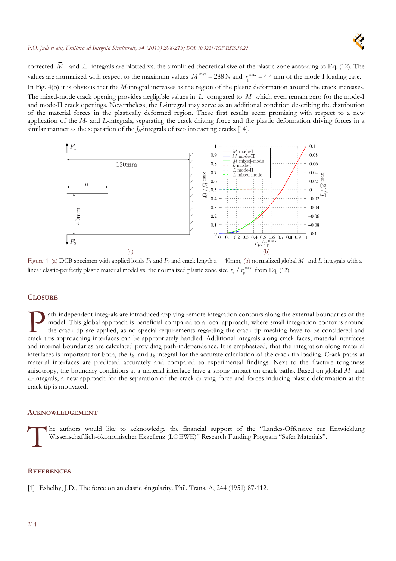similar manner as the separation of the *Jk*-integrals of two interacting cracks [14].



corrected  $\overline{M}$  - and  $\overline{L}$  -integrals are plotted vs. the simplified theoretical size of the plastic zone according to Eq. (12). The values are normalized with respect to the maximum values  $\bar{M}^{\text{max}} = 288 \text{ N}$  and  $r_p^{\text{max}} = 4.4 \text{ mm}$  of the mode-I loading case. In Fig. 4(b) it is obvious that the *M*-integral increases as the region of the plastic deformation around the crack increases. The mixed-mode crack opening provides negligible values in  $\overline{L}$  compared to  $\overline{M}$  which even remain zero for the mode-I and mode-II crack openings. Nevertheless, the *L*-integral may serve as an additional condition describing the distribution of the material forces in the plastically deformed region. These first results seem promising with respect to a new

application of the *M*- and *L*-integrals, separating the crack driving force and the plastic deformation driving forces in a

 $0.1$  $M$  mode- $0.9$ 0.08  $M$  mode-II  $M$  mode-11<br> $M$  mixed-mode<br> $L$  mode-I  $120 \text{mm}$  $0.8$  $0.06$  $_{\rm mode-II}$  $0.7$ 0.04  $\bar{M}/\bar{M}$  max  $L$  mixed-mode  $0.6$ 0.02  $\overline{a}$  $0.5$  $\theta$  $0.4$  $-0.02$  $0.3$  $-0.04$  $40mm$  $0.2$  $-0.06$  $0<sub>1</sub>$  $-0.08$  $\Omega$  $-0.1$  $\Omega$ 0.1 0.2 0.3 0.4 0.5 0.6 0.7 0.8 0.9  $\overline{1}$  $F<sub>2</sub>$  $r_{\rm p}/r_{\rm p}^{\rm n}$  $(a)$  (b)

Figure 4: (a) DCB specimen with applied loads *F*1 and *F*2 and crack length a = 40mm, (b) normalized global *M*- and *L*-integrals with a linear elastic-perfectly plastic material model vs. the normalized plastic zone size  $r_p / r_p^{max}$  from Eq. (12).

## **CLOSURE**

ath-independent integrals are introduced applying remote integration contours along the external boundaries of the model. This global approach is beneficial compared to a local approach, where small integration contours around the crack tip are applied, as no special requirements regarding the crack tip meshing have to be considered and ath-independent integrals are introduced applying remote integration contours along the external boundaries of the model. This global approach is beneficial compared to a local approach, where small integration contours ar and internal boundaries are calculated providing path-independence. It is emphasized, that the integration along material interfaces is important for both, the *Jk*- and *Ik*-integral for the accurate calculation of the crack tip loading. Crack paths at material interfaces are predicted accurately and compared to experimental findings. Next to the fracture toughness anisotropy, the boundary conditions at a material interface have a strong impact on crack paths. Based on global *M*- and *L*-integrals, a new approach for the separation of the crack driving force and forces inducing plastic deformation at the crack tip is motivated.

#### **ACKNOWLEDGEMENT**

he authors would like to acknowledge the financial support of the "Landes-Offensive zur Entwicklung Wissenschaftlich-ökonomischer Exzellenz (LOEWE)" Research Funding Program "Safer Materials". T<sup>he</sup>

#### **REFERENCES**

[1] Eshelby, J.D., The force on an elastic singularity. Phil. Trans. A, 244 (1951) 87-112.